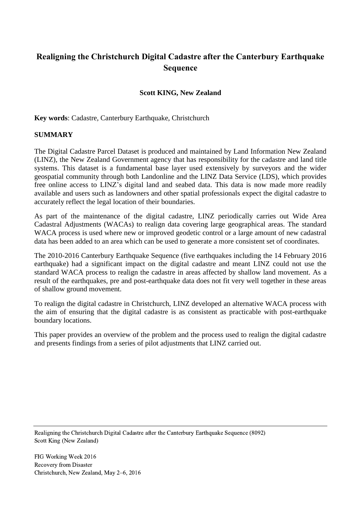# **Realigning the Christchurch Digital Cadastre after the Canterbury Earthquake Sequence**

# **Scott KING, New Zealand**

**Key words**: Cadastre, Canterbury Earthquake, Christchurch

## **SUMMARY**

The Digital Cadastre Parcel Dataset is produced and maintained by Land Information New Zealand (LINZ), the New Zealand Government agency that has responsibility for the cadastre and land title systems. This dataset is a fundamental base layer used extensively by surveyors and the wider geospatial community through both Landonline and the LINZ Data Service (LDS), which provides free online access to LINZ's digital land and seabed data. This data is now made more readily available and users such as landowners and other spatial professionals expect the digital cadastre to accurately reflect the legal location of their boundaries.

As part of the maintenance of the digital cadastre, LINZ periodically carries out Wide Area Cadastral Adjustments (WACAs) to realign data covering large geographical areas. The standard WACA process is used where new or improved geodetic control or a large amount of new cadastral data has been added to an area which can be used to generate a more consistent set of coordinates.

The 2010-2016 Canterbury Earthquake Sequence (five earthquakes including the 14 February 2016 earthquake) had a significant impact on the digital cadastre and meant LINZ could not use the standard WACA process to realign the cadastre in areas affected by shallow land movement. As a result of the earthquakes, pre and post-earthquake data does not fit very well together in these areas of shallow ground movement.

To realign the digital cadastre in Christchurch, LINZ developed an alternative WACA process with the aim of ensuring that the digital cadastre is as consistent as practicable with post-earthquake boundary locations.

This paper provides an overview of the problem and the process used to realign the digital cadastre and presents findings from a series of pilot adjustments that LINZ carried out.

Realigning the Christchurch Digital Cadastre after the Canterbury Earthquake Sequence (8092) Scott King (New Zealand)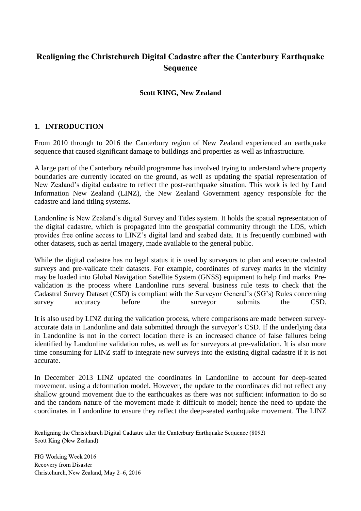# **Realigning the Christchurch Digital Cadastre after the Canterbury Earthquake Sequence**

# **Scott KING, New Zealand**

## **1. INTRODUCTION**

From 2010 through to 2016 the Canterbury region of New Zealand experienced an earthquake sequence that caused significant damage to buildings and properties as well as infrastructure.

A large part of the Canterbury rebuild programme has involved trying to understand where property boundaries are currently located on the ground, as well as updating the spatial representation of New Zealand's digital cadastre to reflect the post-earthquake situation. This work is led by Land Information New Zealand (LINZ), the New Zealand Government agency responsible for the cadastre and land titling systems.

Landonline is New Zealand's digital Survey and Titles system. It holds the spatial representation of the digital cadastre, which is propagated into the geospatial community through the LDS, which provides free online access to LINZ's digital land and seabed data. It is frequently combined with other datasets, such as aerial imagery, made available to the general public.

While the digital cadastre has no legal status it is used by surveyors to plan and execute cadastral surveys and pre-validate their datasets. For example, coordinates of survey marks in the vicinity may be loaded into Global Navigation Satellite System (GNSS) equipment to help find marks. Prevalidation is the process where Landonline runs several business rule tests to check that the Cadastral Survey Dataset (CSD) is compliant with the Surveyor General's (SG's) Rules concerning survey accuracy before the surveyor submits the CSD.

It is also used by LINZ during the validation process, where comparisons are made between surveyaccurate data in Landonline and data submitted through the surveyor's CSD. If the underlying data in Landonline is not in the correct location there is an increased chance of false failures being identified by Landonline validation rules, as well as for surveyors at pre-validation. It is also more time consuming for LINZ staff to integrate new surveys into the existing digital cadastre if it is not accurate.

In December 2013 LINZ updated the coordinates in Landonline to account for deep-seated movement, using a deformation model. However, the update to the coordinates did not reflect any shallow ground movement due to the earthquakes as there was not sufficient information to do so and the random nature of the movement made it difficult to model; hence the need to update the coordinates in Landonline to ensure they reflect the deep-seated earthquake movement. The LINZ

Realigning the Christchurch Digital Cadastre after the Canterbury Earthquake Sequence (8092) Scott King (New Zealand)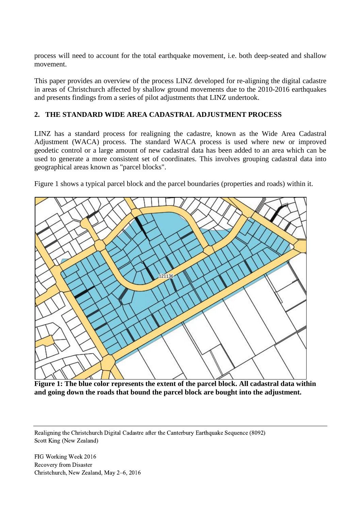process will need to account for the total earthquake movement, i.e. both deep-seated and shallow movement.

This paper provides an overview of the process LINZ developed for re-aligning the digital cadastre in areas of Christchurch affected by shallow ground movements due to the 2010-2016 earthquakes and presents findings from a series of pilot adjustments that LINZ undertook.

# **2. THE STANDARD WIDE AREA CADASTRAL ADJUSTMENT PROCESS**

LINZ has a standard process for realigning the cadastre, known as the Wide Area Cadastral Adjustment (WACA) process. The standard WACA process is used where new or improved geodetic control or a large amount of new cadastral data has been added to an area which can be used to generate a more consistent set of coordinates. This involves grouping cadastral data into geographical areas known as "parcel blocks".

Figure 1 shows a typical parcel block and the parcel boundaries (properties and roads) within it.



**Figure 1: The blue color represents the extent of the parcel block. All cadastral data within and going down the roads that bound the parcel block are bought into the adjustment.**

Realigning the Christchurch Digital Cadastre after the Canterbury Earthquake Sequence (8092) Scott King (New Zealand)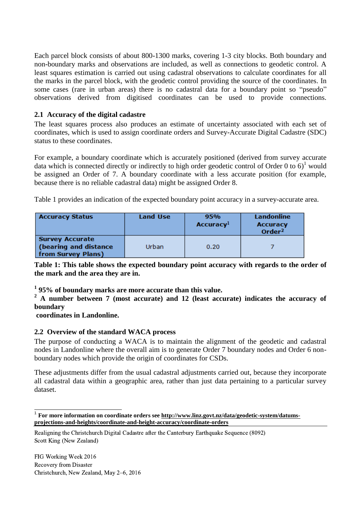Each parcel block consists of about 800-1300 marks, covering 1-3 city blocks. Both boundary and non-boundary marks and observations are included, as well as connections to geodetic control. A least squares estimation is carried out using cadastral observations to calculate coordinates for all the marks in the parcel block, with the geodetic control providing the source of the coordinates. In some cases (rare in urban areas) there is no cadastral data for a boundary point so "pseudo" observations derived from digitised coordinates can be used to provide connections.

# **2.1 Accuracy of the digital cadastre**

The least squares process also produces an estimate of uncertainty associated with each set of coordinates, which is used to assign coordinate orders and Survey-Accurate Digital Cadastre (SDC) status to these coordinates.

For example, a boundary coordinate which is accurately positioned (derived from survey accurate data which is connected directly or indirectly to high order geodetic control of Order 0 to 6)<sup>1</sup> would be assigned an Order of 7. A boundary coordinate with a less accurate position (for example, because there is no reliable cadastral data) might be assigned Order 8.

Table 1 provides an indication of the expected boundary point accuracy in a survey-accurate area.

| <b>Accuracy Status</b>                                                | Land Use | 95%<br><b>Accuracy</b> <sup>1</sup> | Landonline<br><b>Accuracy</b><br>Order $2$ |  |  |
|-----------------------------------------------------------------------|----------|-------------------------------------|--------------------------------------------|--|--|
| <b>Survey Accurate</b><br>(bearing and distance<br>from Survey Plans) | Urban    | 0.20                                |                                            |  |  |

**Table 1: This table shows the expected boundary point accuracy with regards to the order of the mark and the area they are in.**

**1 95% of boundary marks are more accurate than this value.**

**<sup>2</sup> A number between 7 (most accurate) and 12 (least accurate) indicates the accuracy of boundary**

**coordinates in Landonline.**

 $\overline{a}$ 

## **2.2 Overview of the standard WACA process**

The purpose of conducting a WACA is to maintain the alignment of the geodetic and cadastral nodes in Landonline where the overall aim is to generate Order 7 boundary nodes and Order 6 nonboundary nodes which provide the origin of coordinates for CSDs.

These adjustments differ from the usual cadastral adjustments carried out, because they incorporate all cadastral data within a geographic area, rather than just data pertaining to a particular survey dataset.

Realigning the Christchurch Digital Cadastre after the Canterbury Earthquake Sequence (8092) Scott King (New Zealand)

<sup>1</sup> **For more information on coordinate orders see [http://www.linz.govt.nz/data/geodetic-system/datums](http://www.linz.govt.nz/data/geodetic-system/datums-projections-and-heights/coordinate-and-height-accuracy/coordinate-orders)[projections-and-heights/coordinate-and-height-accuracy/coordinate-orders](http://www.linz.govt.nz/data/geodetic-system/datums-projections-and-heights/coordinate-and-height-accuracy/coordinate-orders)**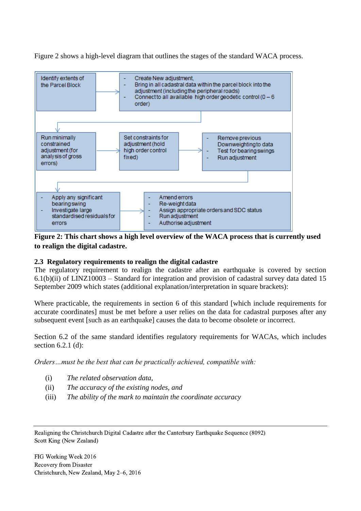Figure 2 shows a high-level diagram that outlines the stages of the standard WACA process.



**Figure 2: This chart shows a high level overview of the WACA process that is currently used to realign the digital cadastre.**

## **2.3 Regulatory requirements to realign the digital cadastre**

The regulatory requirement to realign the cadastre after an earthquake is covered by section  $6.1(b)(ii)$  of LINZ10003 – Standard for integration and provision of cadastral survey data dated 15 September 2009 which states (additional explanation/interpretation in square brackets):

Where practicable, the requirements in section 6 of this standard [which include requirements for accurate coordinates] must be met before a user relies on the data for cadastral purposes after any subsequent event [such as an earthquake] causes the data to become obsolete or incorrect.

Section 6.2 of the same standard identifies regulatory requirements for WACAs, which includes section 6.2.1 (d):

*Orders…must be the best that can be practically achieved, compatible with:*

- (i) *The related observation data,*
- (ii) *The accuracy of the existing nodes, and*
- (iii) *The ability of the mark to maintain the coordinate accuracy*

Realigning the Christchurch Digital Cadastre after the Canterbury Earthquake Sequence (8092) Scott King (New Zealand)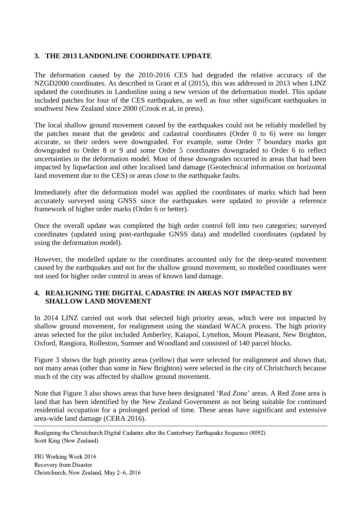## **3. THE 2013 LANDONLINE COORDINATE UPDATE**

The deformation caused by the 2010-2016 CES had degraded the relative accuracy of the NZGD2000 coordinates. As described in Grant et al (2015), this was addressed in 2013 when LINZ updated the coordinates in Landonline using a new version of the deformation model. This update included patches for four of the CES earthquakes, as well as four other significant earthquakes in southwest New Zealand since 2000 (Crook et al, in press).

The local shallow ground movement caused by the earthquakes could not be reliably modelled by the patches meant that the geodetic and cadastral coordinates (Order 0 to 6) were no longer accurate, so their orders were downgraded. For example, some Order 7 boundary marks got downgraded to Order 8 or 9 and some Order 5 coordinates downgraded to Order 6 to reflect uncertainties in the deformation model. Most of these downgrades occurred in areas that had been impacted by liquefaction and other localised land damage (Geotechnical information on horizontal land movement due to the CES) or areas close to the earthquake faults.

Immediately after the deformation model was applied the coordinates of marks which had been accurately surveyed using GNSS since the earthquakes were updated to provide a reference framework of higher order marks (Order 6 or better).

Once the overall update was completed the high order control fell into two categories; surveyed coordinates (updated using post-earthquake GNSS data) and modelled coordinates (updated by using the deformation model).

However, the modelled update to the coordinates accounted only for the deep-seated movement caused by the earthquakes and not for the shallow ground movement, so modelled coordinates were not used for higher order control in areas of known land damage.

## **4. REALIGNING THE DIGITAL CADASTRE IN AREAS NOT IMPACTED BY SHALLOW LAND MOVEMENT**

In 2014 LINZ carried out work that selected high priority areas, which were not impacted by shallow ground movement, for realignment using the standard WACA process. The high priority areas selected for the pilot included Amberley, Kaiapoi, Lyttelton, Mount Pleasant, New Brighton, Oxford, Rangiora, Rolleston, Sumner and Woodland and consisted of 140 parcel blocks.

Figure 3 shows the high priority areas (yellow) that were selected for realignment and shows that, not many areas (other than some in New Brighton) were selected in the city of Christchurch because much of the city was affected by shallow ground movement.

Note that Figure 3 also shows areas that have been designated 'Red Zone' areas. A Red Zone area is land that has been identified by the New Zealand Government as not being suitable for continued residential occupation for a prolonged period of time. These areas have significant and extensive area-wide land damage (CERA 2016).

Realigning the Christchurch Digital Cadastre after the Canterbury Earthquake Sequence (8092) Scott King (New Zealand)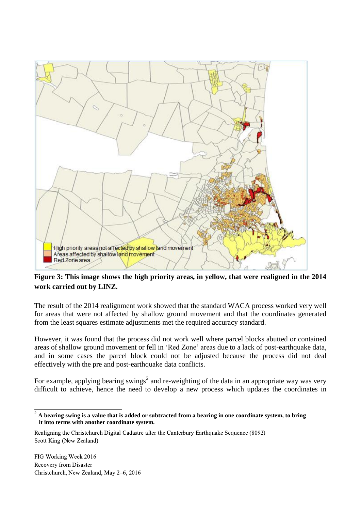

**Figure 3: This image shows the high priority areas, in yellow, that were realigned in the 2014 work carried out by LINZ.**

The result of the 2014 realignment work showed that the standard WACA process worked very well for areas that were not affected by shallow ground movement and that the coordinates generated from the least squares estimate adjustments met the required accuracy standard.

However, it was found that the process did not work well where parcel blocks abutted or contained areas of shallow ground movement or fell in 'Red Zone' areas due to a lack of post-earthquake data, and in some cases the parcel block could not be adjusted because the process did not deal effectively with the pre and post-earthquake data conflicts.

For example, applying bearing swings<sup>2</sup> and re-weighting of the data in an appropriate way was very difficult to achieve, hence the need to develop a new process which updates the coordinates in

Realigning the Christchurch Digital Cadastre after the Canterbury Earthquake Sequence (8092) Scott King (New Zealand)

 $\overline{a}$ 

 $^2$  A bearing swing is a value that is added or subtracted from a bearing in one coordinate system, to bring  **it into terms with another coordinate system.**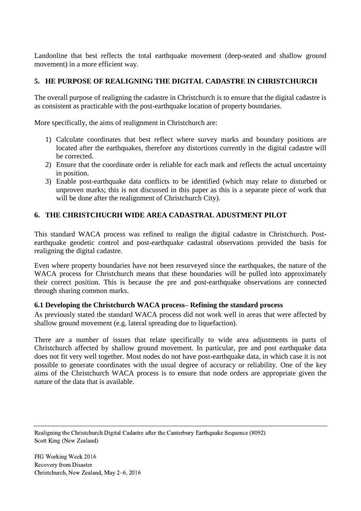Landonline that best reflects the total earthquake movement (deep-seated and shallow ground movement) in a more efficient way.

# **5. HE PURPOSE OF REALIGNING THE DIGITAL CADASTRE IN CHRISTCHURCH**

The overall purpose of realigning the cadastre in Christchurch is to ensure that the digital cadastre is as consistent as practicable with the post-earthquake location of property boundaries.

More specifically, the aims of realignment in Christchurch are:

- 1) Calculate coordinates that best reflect where survey marks and boundary positions are located after the earthquakes, therefore any distortions currently in the digital cadastre will be corrected.
- 2) Ensure that the coordinate order is reliable for each mark and reflects the actual uncertainty in position.
- 3) Enable post-earthquake data conflicts to be identified (which may relate to disturbed or unproven marks; this is not discussed in this paper as this is a separate piece of work that will be done after the realignment of Christchurch City).

# **6. THE CHRISTCHUCRH WIDE AREA CADASTRAL ADUSTMENT PILOT**

This standard WACA process was refined to realign the digital cadastre in Christchurch. Postearthquake geodetic control and post-earthquake cadastral observations provided the basis for realigning the digital cadastre.

Even where property boundaries have not been resurveyed since the earthquakes, the nature of the WACA process for Christchurch means that these boundaries will be pulled into approximately their correct position. This is because the pre and post-earthquake observations are connected through sharing common marks.

## **6.1 Developing the Christchurch WACA process– Refining the standard process**

As previously stated the standard WACA process did not work well in areas that were affected by shallow ground movement (e.g. lateral spreading due to liquefaction).

There are a number of issues that relate specifically to wide area adjustments in parts of Christchurch affected by shallow ground movement. In particular, pre and post earthquake data does not fit very well together. Most nodes do not have post-earthquake data, in which case it is not possible to generate coordinates with the usual degree of accuracy or reliability. One of the key aims of the Christchurch WACA process is to ensure that node orders are appropriate given the nature of the data that is available.

Realigning the Christchurch Digital Cadastre after the Canterbury Earthquake Sequence (8092) Scott King (New Zealand)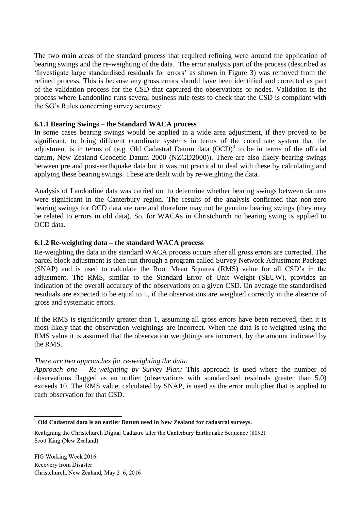The two main areas of the standard process that required refining were around the application of bearing swings and the re-weighting of the data. The error analysis part of the process (described as 'Investigate large standardised residuals for errors' as shown in Figure 3) was removed from the refined process. This is because any gross errors should have been identified and corrected as part of the validation process for the CSD that captured the observations or nodes. Validation is the process where Landonline runs several business rule tests to check that the CSD is compliant with the SG's Rules concerning survey accuracy.

#### **6.1.1 Bearing Swings – the Standard WACA process**

In some cases bearing swings would be applied in a wide area adjustment, if they proved to be significant, to bring different coordinate systems in terms of the coordinate system that the adjustment is in terms of (e.g. Old Cadastral Datum data  $(OCD)^3$  to be in terms of the official datum, New Zealand Geodetic Datum 2000 (NZGD2000)). There are also likely bearing swings between pre and post-earthquake data but it was not practical to deal with these by calculating and applying these bearing swings. These are dealt with by re-weighting the data.

Analysis of Landonline data was carried out to determine whether bearing swings between datums were significant in the Canterbury region. The results of the analysis confirmed that non-zero bearing swings for OCD data are rare and therefore may not be genuine bearing swings (they may be related to errors in old data). So, for WACAs in Christchurch no bearing swing is applied to OCD data.

#### **6.1.2 Re-weighting data – the standard WACA process**

Re-weighting the data in the standard WACA process occurs after all gross errors are corrected. The parcel block adjustment is then run through a program called Survey Network Adjustment Package (SNAP) and is used to calculate the Root Mean Squares (RMS) value for all CSD's in the adjustment. The RMS, similar to the Standard Error of Unit Weight (SEUW), provides an indication of the overall accuracy of the observations on a given CSD. On average the standardised residuals are expected to be equal to 1, if the observations are weighted correctly in the absence of gross and systematic errors.

If the RMS is significantly greater than 1, assuming all gross errors have been removed, then it is most likely that the observation weightings are incorrect. When the data is re-weighted using the RMS value it is assumed that the observation weightings are incorrect, by the amount indicated by the RMS.

#### *There are two approaches for re-weighting the data:*

*Approach one – Re-weighting by Survey Plan:* This approach is used where the number of observations flagged as an outlier (observations with standardised residuals greater than 5.0) exceeds 10. The RMS value, calculated by SNAP, is used as the error multiplier that is applied to each observation for that CSD.

-

<sup>3</sup> **Old Cadastral data is an earlier Datum used in New Zealand for cadastral surveys.**

Realigning the Christchurch Digital Cadastre after the Canterbury Earthquake Sequence (8092) Scott King (New Zealand)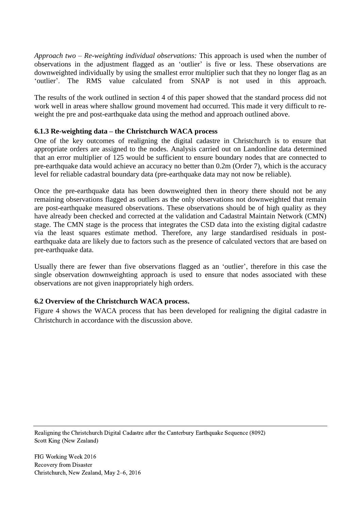*Approach two – Re-weighting individual observations:* This approach is used when the number of observations in the adjustment flagged as an 'outlier' is five or less. These observations are downweighted individually by using the smallest error multiplier such that they no longer flag as an 'outlier'. The RMS value calculated from SNAP is not used in this approach.

The results of the work outlined in section 4 of this paper showed that the standard process did not work well in areas where shallow ground movement had occurred. This made it very difficult to reweight the pre and post-earthquake data using the method and approach outlined above.

## **6.1.3 Re-weighting data – the Christchurch WACA process**

One of the key outcomes of realigning the digital cadastre in Christchurch is to ensure that appropriate orders are assigned to the nodes. Analysis carried out on Landonline data determined that an error multiplier of 125 would be sufficient to ensure boundary nodes that are connected to pre-earthquake data would achieve an accuracy no better than 0.2m (Order 7), which is the accuracy level for reliable cadastral boundary data (pre-earthquake data may not now be reliable).

Once the pre-earthquake data has been downweighted then in theory there should not be any remaining observations flagged as outliers as the only observations not downweighted that remain are post-earthquake measured observations. These observations should be of high quality as they have already been checked and corrected at the validation and Cadastral Maintain Network (CMN) stage. The CMN stage is the process that integrates the CSD data into the existing digital cadastre via the least squares estimate method. Therefore, any large standardised residuals in postearthquake data are likely due to factors such as the presence of calculated vectors that are based on pre-earthquake data.

Usually there are fewer than five observations flagged as an 'outlier', therefore in this case the single observation downweighting approach is used to ensure that nodes associated with these observations are not given inappropriately high orders.

# **6.2 Overview of the Christchurch WACA process.**

Figure 4 shows the WACA process that has been developed for realigning the digital cadastre in Christchurch in accordance with the discussion above.

Realigning the Christchurch Digital Cadastre after the Canterbury Earthquake Sequence (8092) Scott King (New Zealand)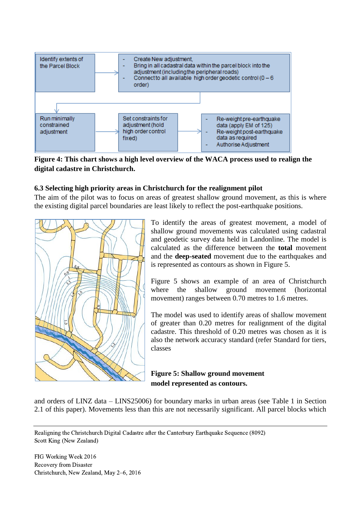

**Figure 4: This chart shows a high level overview of the WACA process used to realign the digital cadastre in Christchurch.**

# **6.3 Selecting high priority areas in Christchurch for the realignment pilot**

The aim of the pilot was to focus on areas of greatest shallow ground movement, as this is where the existing digital parcel boundaries are least likely to reflect the post-earthquake positions.



To identify the areas of greatest movement, a model of shallow ground movements was calculated using cadastral and geodetic survey data held in Landonline. The model is calculated as the difference between the **total** movement and the **deep-seated** movement due to the earthquakes and is represented as contours as shown in Figure 5.

Figure 5 shows an example of an area of Christchurch where the shallow ground movement (horizontal movement) ranges between 0.70 metres to 1.6 metres.

The model was used to identify areas of shallow movement of greater than 0.20 metres for realignment of the digital cadastre. This threshold of 0.20 metres was chosen as it is also the network accuracy standard (refer Standard for tiers, classes

**Figure 5: Shallow ground movement model represented as contours.**

and orders of LINZ data – LINS25006) for boundary marks in urban areas (see Table 1 in Section 2.1 of this paper). Movements less than this are not necessarily significant. All parcel blocks which

Realigning the Christchurch Digital Cadastre after the Canterbury Earthquake Sequence (8092) Scott King (New Zealand)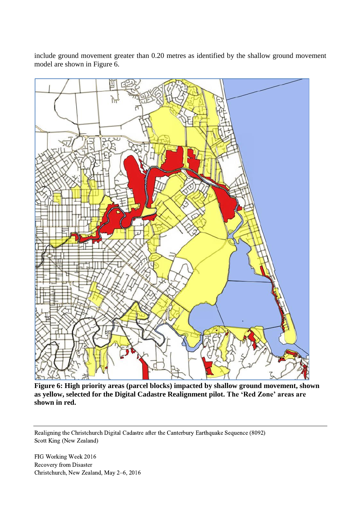include ground movement greater than 0.20 metres as identified by the shallow ground movement model are shown in Figure 6.



**Figure 6: High priority areas (parcel blocks) impacted by shallow ground movement, shown as yellow, selected for the Digital Cadastre Realignment pilot. The 'Red Zone' areas are shown in red.**

Realigning the Christchurch Digital Cadastre after the Canterbury Earthquake Sequence (8092) Scott King (New Zealand)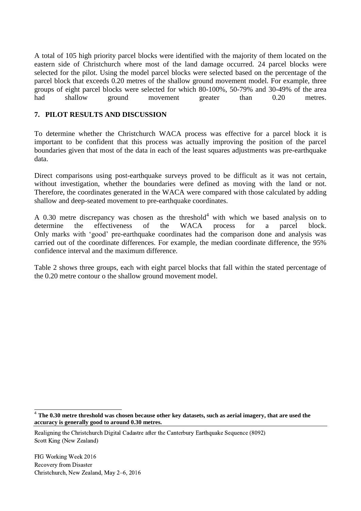A total of 105 high priority parcel blocks were identified with the majority of them located on the eastern side of Christchurch where most of the land damage occurred. 24 parcel blocks were selected for the pilot. Using the model parcel blocks were selected based on the percentage of the parcel block that exceeds 0.20 metres of the shallow ground movement model. For example, three groups of eight parcel blocks were selected for which 80-100%, 50-79% and 30-49% of the area had shallow ground movement greater than 0.20 metres.

# **7. PILOT RESULTS AND DISCUSSION**

To determine whether the Christchurch WACA process was effective for a parcel block it is important to be confident that this process was actually improving the position of the parcel boundaries given that most of the data in each of the least squares adjustments was pre-earthquake data.

Direct comparisons using post-earthquake surveys proved to be difficult as it was not certain, without investigation, whether the boundaries were defined as moving with the land or not. Therefore, the coordinates generated in the WACA were compared with those calculated by adding shallow and deep-seated movement to pre-earthquake coordinates.

A 0.30 metre discrepancy was chosen as the threshold<sup>4</sup> with which we based analysis on to determine the effectiveness of the WACA process for a parcel block. Only marks with 'good' pre-earthquake coordinates had the comparison done and analysis was carried out of the coordinate differences. For example, the median coordinate difference, the 95% confidence interval and the maximum difference.

Table 2 shows three groups, each with eight parcel blocks that fall within the stated percentage of the 0.20 metre contour o the shallow ground movement model.

 4 **The 0.30 metre threshold was chosen because other key datasets, such as aerial imagery, that are used the accuracy is generally good to around 0.30 metres.**

Realigning the Christchurch Digital Cadastre after the Canterbury Earthquake Sequence (8092) Scott King (New Zealand)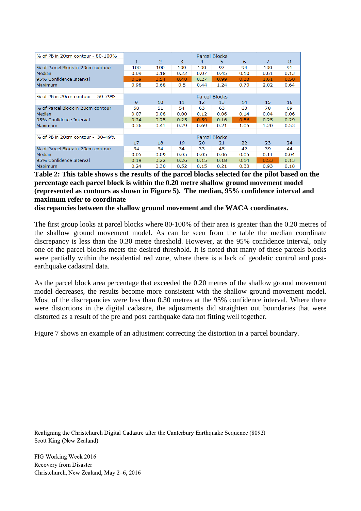| % of PB in 20cm contour - 80-100% | Parcel Blocks |                |      |      |      |      |      |      |  |  |  |
|-----------------------------------|---------------|----------------|------|------|------|------|------|------|--|--|--|
|                                   | 1             | $\overline{2}$ | 3    | 4    | 5.   | 6    | 7    | 8    |  |  |  |
| % of Parcel Block in 20cm contour | 100           | 100            | 100  | 100  | 97   | 94   | 100  | 91   |  |  |  |
| Median                            | 0.09          | 0.18           | 0.22 | 0.07 | 0.45 | 0.10 | 0.61 | 0.13 |  |  |  |
| 95% Confidence Interval           | 0.39          | 0.54           | 0.40 | 0.27 | 0.99 | 0.33 | 1.61 | 0.50 |  |  |  |
| <b>Maximum</b>                    | 0.98          | 0.68           | 0.5  | 0.44 | 1.24 | 0.70 | 2.02 | 0.64 |  |  |  |
|                                   |               |                |      |      |      |      |      |      |  |  |  |
| % of PB in 20cm contour - 50-79%  | Parcel Blocks |                |      |      |      |      |      |      |  |  |  |
|                                   | 9             | 10             | 11   | 12   | 13   | 14   | 15   | 16   |  |  |  |
| % of Parcel Block in 20cm contour | 50            | 51             | 54   | 63   | 63   | 63   | 78   | 69   |  |  |  |
| Median                            | 0.07          | 0.08           | 0.00 | 0.12 | 0.06 | 0.14 | 0.04 | 0.06 |  |  |  |
| 95% Confidence Interval           | 0.24          | 0.25           | 0.25 | 0.59 | 0.16 | 0.56 | 0.25 | 0.29 |  |  |  |
| <b>Maximum</b>                    | 0.36          | 0.41           | 0.29 | 0.69 | 0.21 | 1.05 | 1.20 | 0.53 |  |  |  |
|                                   |               |                |      |      |      |      |      |      |  |  |  |
| % of PB in 20cm contour - 30-49%  | Parcel Blocks |                |      |      |      |      |      |      |  |  |  |
|                                   | 17            | 18             | 19   | 20   | 21   | 22   | 23   | 24   |  |  |  |
| % of Parcel Block in 20cm contour | 34            | 34             | 34   | 33   | 45   | 42   | 39   | 44   |  |  |  |
| Median                            | 0.05          | 0.09           | 0.05 | 0.05 | 0.06 | 0.05 | 0.11 | 0.04 |  |  |  |
| 95% Confidence Interval           | 0.19          | 0.22           | 0.26 | 0.15 | 0.18 | 0.14 | 0.53 | 0.13 |  |  |  |
| Maximum                           | 0.24          | 0.30           | 0.52 | 0.15 | 0.21 | 0.33 | 0.93 | 0.18 |  |  |  |

**Table 2: This table shows s the results of the parcel blocks selected for the pilot based on the percentage each parcel block is within the 0.20 metre shallow ground movement model (represented as contours as shown in Figure 5). The median, 95% confidence interval and maximum refer to coordinate** 

**discrepancies between the shallow ground movement and the WACA coordinates.**

The first group looks at parcel blocks where 80-100% of their area is greater than the 0.20 metres of the shallow ground movement model. As can be seen from the table the median coordinate discrepancy is less than the 0.30 metre threshold. However, at the 95% confidence interval, only one of the parcel blocks meets the desired threshold. It is noted that many of these parcels blocks were partially within the residential red zone, where there is a lack of geodetic control and postearthquake cadastral data.

As the parcel block area percentage that exceeded the 0.20 metres of the shallow ground movement model decreases, the results become more consistent with the shallow ground movement model. Most of the discrepancies were less than 0.30 metres at the 95% confidence interval. Where there were distortions in the digital cadastre, the adjustments did straighten out boundaries that were distorted as a result of the pre and post earthquake data not fitting well together.

Figure 7 shows an example of an adjustment correcting the distortion in a parcel boundary.

Realigning the Christchurch Digital Cadastre after the Canterbury Earthquake Sequence (8092) Scott King (New Zealand)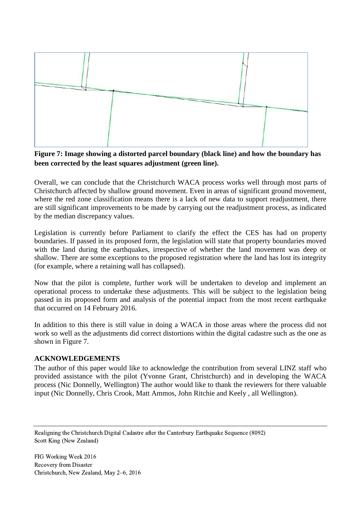

**Figure 7: Image showing a distorted parcel boundary (black line) and how the boundary has been corrected by the least squares adjustment (green line).**

Overall, we can conclude that the Christchurch WACA process works well through most parts of Christchurch affected by shallow ground movement. Even in areas of significant ground movement, where the red zone classification means there is a lack of new data to support readjustment, there are still significant improvements to be made by carrying out the readjustment process, as indicated by the median discrepancy values.

Legislation is currently before Parliament to clarify the effect the CES has had on property boundaries. If passed in its proposed form, the legislation will state that property boundaries moved with the land during the earthquakes, irrespective of whether the land movement was deep or shallow. There are some exceptions to the proposed registration where the land has lost its integrity (for example, where a retaining wall has collapsed).

Now that the pilot is complete, further work will be undertaken to develop and implement an operational process to undertake these adjustments. This will be subject to the legislation being passed in its proposed form and analysis of the potential impact from the most recent earthquake that occurred on 14 February 2016.

In addition to this there is still value in doing a WACA in those areas where the process did not work so well as the adjustments did correct distortions within the digital cadastre such as the one as shown in Figure 7.

#### **ACKNOWLEDGEMENTS**

The author of this paper would like to acknowledge the contribution from several LINZ staff who provided assistance with the pilot (Yvonne Grant, Christchurch) and in developing the WACA process (Nic Donnelly, Wellington) The author would like to thank the reviewers for there valuable input (Nic Donnelly, Chris Crook, Matt Ammos, John Ritchie and Keely , all Wellington).

Realigning the Christchurch Digital Cadastre after the Canterbury Earthquake Sequence (8092) Scott King (New Zealand)